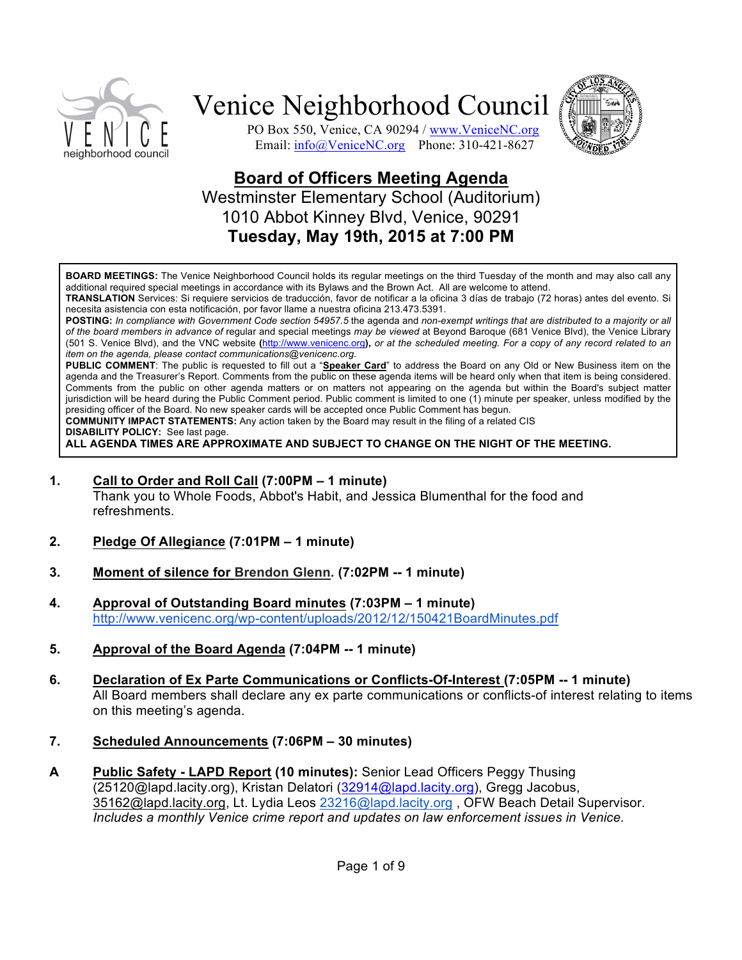



PO Box 550, Venice, CA 90294 / www.VeniceNC.org Email: info@VeniceNC.org Phone: 310-421-8627

### **Board of Officers Meeting Agenda** Westminster Elementary School (Auditorium) 1010 Abbot Kinney Blvd, Venice, 90291 **Tuesday, May 19th, 2015 at 7:00 PM**

**BOARD MEETINGS:** The Venice Neighborhood Council holds its regular meetings on the third Tuesday of the month and may also call any additional required special meetings in accordance with its Bylaws and the Brown Act. All are welcome to attend.

**TRANSLATION** Services: Si requiere servicios de traducción, favor de notificar a la oficina 3 días de trabajo (72 horas) antes del evento. Si necesita asistencia con esta notificación, por favor llame a nuestra oficina 213.473.5391.

**POSTING:** *In compliance with Government Code section 54957.5* the agenda and *non-exempt writings that are distributed to a majority or all of the board members in advance of* regular and special meetings *may be viewed* at Beyond Baroque (681 Venice Blvd), the Venice Library (501 S. Venice Blvd), and the VNC website **(**http://www.venicenc.org**),** *or at the scheduled meeting. For a copy of any record related to an item on the agenda, please contact communications@venicenc.org.*

**PUBLIC COMMENT**: The public is requested to fill out a "**Speaker Card**" to address the Board on any Old or New Business item on the agenda and the Treasurer's Report. Comments from the public on these agenda items will be heard only when that item is being considered. Comments from the public on other agenda matters or on matters not appearing on the agenda but within the Board's subject matter jurisdiction will be heard during the Public Comment period. Public comment is limited to one (1) minute per speaker, unless modified by the presiding officer of the Board. No new speaker cards will be accepted once Public Comment has begun.

**COMMUNITY IMPACT STATEMENTS:** Any action taken by the Board may result in the filing of a related CIS **DISABILITY POLICY:** See last page.

**ALL AGENDA TIMES ARE APPROXIMATE AND SUBJECT TO CHANGE ON THE NIGHT OF THE MEETING.**

**1. Call to Order and Roll Call (7:00PM – 1 minute)**

Thank you to Whole Foods, Abbot's Habit, and Jessica Blumenthal for the food and refreshments.

- **2. Pledge Of Allegiance (7:01PM – 1 minute)**
- **3. Moment of silence for Brendon Glenn. (7:02PM -- 1 minute)**
- **4. Approval of Outstanding Board minutes (7:03PM – 1 minute)** http://www.venicenc.org/wp-content/uploads/2012/12/150421BoardMinutes.pdf
- **5. Approval of the Board Agenda (7:04PM -- 1 minute)**
- **6. Declaration of Ex Parte Communications or Conflicts-Of-Interest (7:05PM -- 1 minute)** All Board members shall declare any ex parte communications or conflicts-of interest relating to items on this meeting's agenda.
- **7. Scheduled Announcements (7:06PM – 30 minutes)**
- **A Public Safety - LAPD Report (10 minutes):** Senior Lead Officers Peggy Thusing (25120@lapd.lacity.org), Kristan Delatori (32914@lapd.lacity.org), Gregg Jacobus, 35162@lapd.lacity.org, Lt. Lydia Leos 23216@lapd.lacity.org , OFW Beach Detail Supervisor. *Includes a monthly Venice crime report and updates on law enforcement issues in Venice.*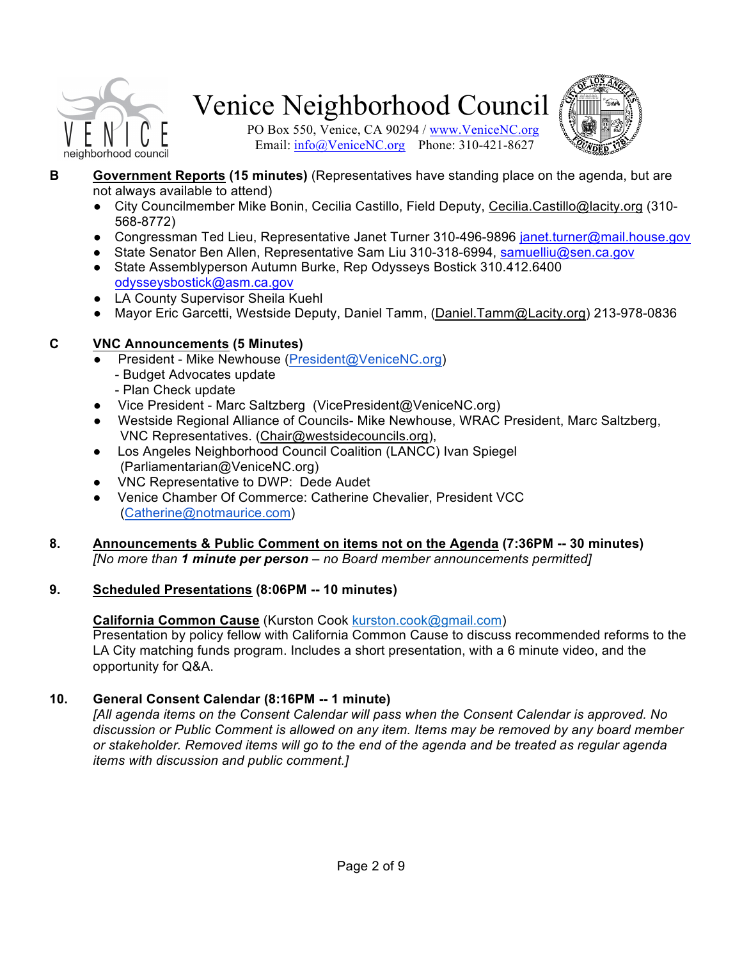

PO Box 550, Venice, CA 90294 / www.VeniceNC.org Email:  $\frac{info(@)$ VeniceNC.org Phone: 310-421-8627



- **B Government Reports (15 minutes)** (Representatives have standing place on the agenda, but are not always available to attend)
	- City Councilmember Mike Bonin, Cecilia Castillo, Field Deputy, Cecilia.Castillo@lacity.org (310- 568-8772)
	- Congressman Ted Lieu, Representative Janet Turner 310-496-9896 janet.turner@mail.house.gov
	- State Senator Ben Allen, Representative Sam Liu 310-318-6994, samuelliu@sen.ca.gov
	- State Assemblyperson Autumn Burke, Rep Odysseys Bostick 310.412.6400 odysseysbostick@asm.ca.gov
	- LA County Supervisor Sheila Kuehl
	- Mayor Eric Garcetti, Westside Deputy, Daniel Tamm, (Daniel.Tamm@Lacity.org) 213-978-0836

### **C VNC Announcements (5 Minutes)**

- President Mike Newhouse (President@VeniceNC.org)
	- Budget Advocates update
	- Plan Check update
- Vice President Marc Saltzberg (VicePresident@VeniceNC.org)
- Westside Regional Alliance of Councils- Mike Newhouse, WRAC President, Marc Saltzberg, VNC Representatives. (Chair@westsidecouncils.org),
- Los Angeles Neighborhood Council Coalition (LANCC) Ivan Spiegel (Parliamentarian@VeniceNC.org)
- VNC Representative to DWP: Dede Audet
- Venice Chamber Of Commerce: Catherine Chevalier, President VCC (Catherine@notmaurice.com)
- **8. Announcements & Public Comment on items not on the Agenda (7:36PM -- 30 minutes)** *[No more than 1 minute per person – no Board member announcements permitted]*

### **9. Scheduled Presentations (8:06PM -- 10 minutes)**

### **California Common Cause** (Kurston Cook kurston.cook@gmail.com)

Presentation by policy fellow with California Common Cause to discuss recommended reforms to the LA City matching funds program. Includes a short presentation, with a 6 minute video, and the opportunity for Q&A.

### **10. General Consent Calendar (8:16PM -- 1 minute)**

*[All agenda items on the Consent Calendar will pass when the Consent Calendar is approved. No discussion or Public Comment is allowed on any item. Items may be removed by any board member or stakeholder. Removed items will go to the end of the agenda and be treated as regular agenda items with discussion and public comment.]*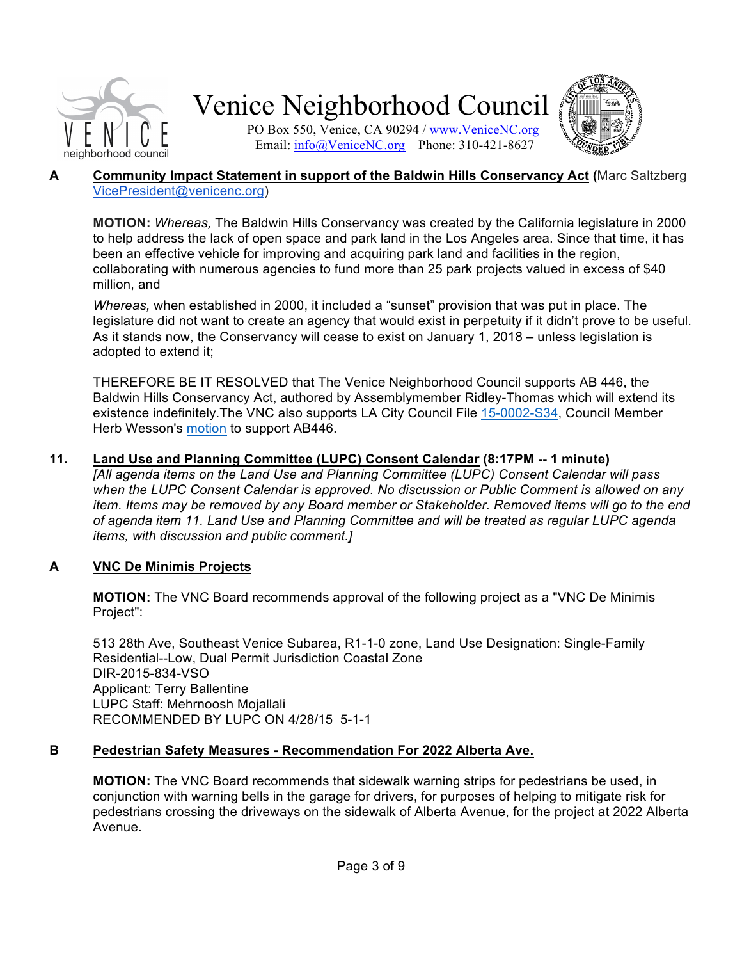

PO Box 550, Venice, CA 90294 / www.VeniceNC.org Email: info@VeniceNC.org Phone: 310-421-8627



#### **A Community Impact Statement in support of the Baldwin Hills Conservancy Act (**Marc Saltzberg VicePresident@venicenc.org)

**MOTION:** *Whereas,* The Baldwin Hills Conservancy was created by the California legislature in 2000 to help address the lack of open space and park land in the Los Angeles area. Since that time, it has been an effective vehicle for improving and acquiring park land and facilities in the region, collaborating with numerous agencies to fund more than 25 park projects valued in excess of \$40 million, and

*Whereas,* when established in 2000, it included a "sunset" provision that was put in place. The legislature did not want to create an agency that would exist in perpetuity if it didn't prove to be useful. As it stands now, the Conservancy will cease to exist on January 1, 2018 – unless legislation is adopted to extend it;

THEREFORE BE IT RESOLVED that The Venice Neighborhood Council supports AB 446, the Baldwin Hills Conservancy Act, authored by Assemblymember Ridley-Thomas which will extend its existence indefinitely.The VNC also supports LA City Council File 15-0002-S34, Council Member Herb Wesson's motion to support AB446.

### **11. Land Use and Planning Committee (LUPC) Consent Calendar (8:17PM -- 1 minute)**

*[All agenda items on the Land Use and Planning Committee (LUPC) Consent Calendar will pass when the LUPC Consent Calendar is approved. No discussion or Public Comment is allowed on any item. Items may be removed by any Board member or Stakeholder. Removed items will go to the end of agenda item 11. Land Use and Planning Committee and will be treated as regular LUPC agenda items, with discussion and public comment.]*

### **A VNC De Minimis Projects**

**MOTION:** The VNC Board recommends approval of the following project as a "VNC De Minimis Project":

513 28th Ave, Southeast Venice Subarea, R1-1-0 zone, Land Use Designation: Single-Family Residential--Low, Dual Permit Jurisdiction Coastal Zone DIR-2015-834-VSO Applicant: Terry Ballentine LUPC Staff: Mehrnoosh Mojallali RECOMMENDED BY LUPC ON 4/28/15 5-1-1

### **B Pedestrian Safety Measures - Recommendation For 2022 Alberta Ave.**

**MOTION:** The VNC Board recommends that sidewalk warning strips for pedestrians be used, in conjunction with warning bells in the garage for drivers, for purposes of helping to mitigate risk for pedestrians crossing the driveways on the sidewalk of Alberta Avenue, for the project at 2022 Alberta Avenue.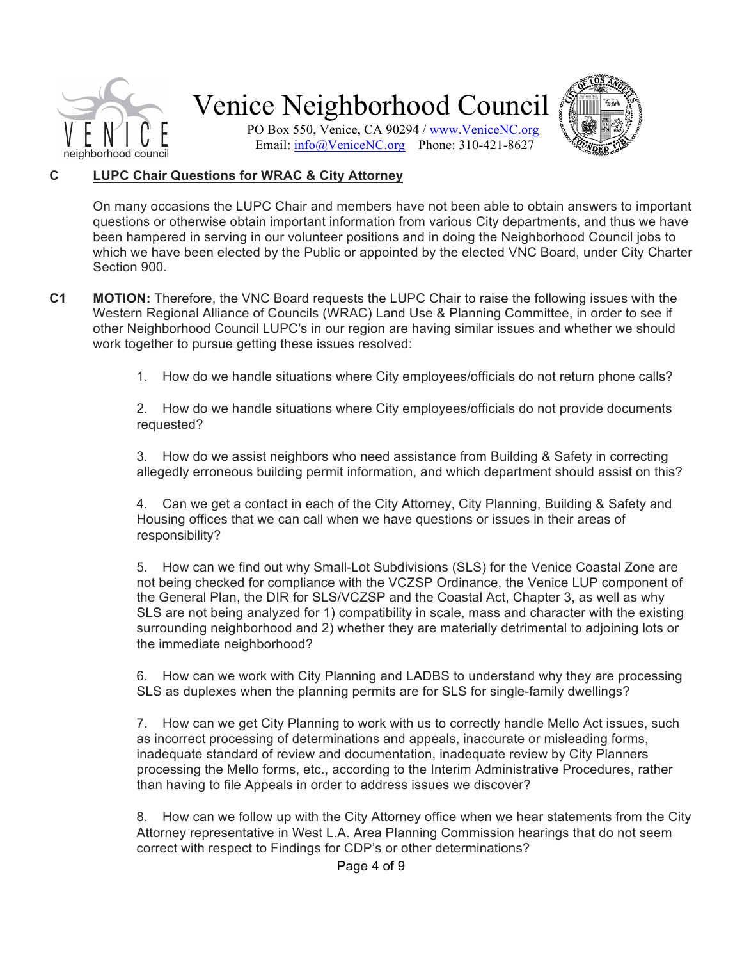

PO Box 550, Venice, CA 90294 / www.VeniceNC.org Email: info@VeniceNC.org Phone: 310-421-8627



#### **C LUPC Chair Questions for WRAC & City Attorney**

On many occasions the LUPC Chair and members have not been able to obtain answers to important questions or otherwise obtain important information from various City departments, and thus we have been hampered in serving in our volunteer positions and in doing the Neighborhood Council jobs to which we have been elected by the Public or appointed by the elected VNC Board, under City Charter Section 900.

- **C1 MOTION:** Therefore, the VNC Board requests the LUPC Chair to raise the following issues with the Western Regional Alliance of Councils (WRAC) Land Use & Planning Committee, in order to see if other Neighborhood Council LUPC's in our region are having similar issues and whether we should work together to pursue getting these issues resolved:
	- 1. How do we handle situations where City employees/officials do not return phone calls?

2. How do we handle situations where City employees/officials do not provide documents requested?

3. How do we assist neighbors who need assistance from Building & Safety in correcting allegedly erroneous building permit information, and which department should assist on this?

4. Can we get a contact in each of the City Attorney, City Planning, Building & Safety and Housing offices that we can call when we have questions or issues in their areas of responsibility?

5. How can we find out why Small-Lot Subdivisions (SLS) for the Venice Coastal Zone are not being checked for compliance with the VCZSP Ordinance, the Venice LUP component of the General Plan, the DIR for SLS/VCZSP and the Coastal Act, Chapter 3, as well as why SLS are not being analyzed for 1) compatibility in scale, mass and character with the existing surrounding neighborhood and 2) whether they are materially detrimental to adjoining lots or the immediate neighborhood?

6. How can we work with City Planning and LADBS to understand why they are processing SLS as duplexes when the planning permits are for SLS for single-family dwellings?

7. How can we get City Planning to work with us to correctly handle Mello Act issues, such as incorrect processing of determinations and appeals, inaccurate or misleading forms, inadequate standard of review and documentation, inadequate review by City Planners processing the Mello forms, etc., according to the Interim Administrative Procedures, rather than having to file Appeals in order to address issues we discover?

8. How can we follow up with the City Attorney office when we hear statements from the City Attorney representative in West L.A. Area Planning Commission hearings that do not seem correct with respect to Findings for CDP's or other determinations?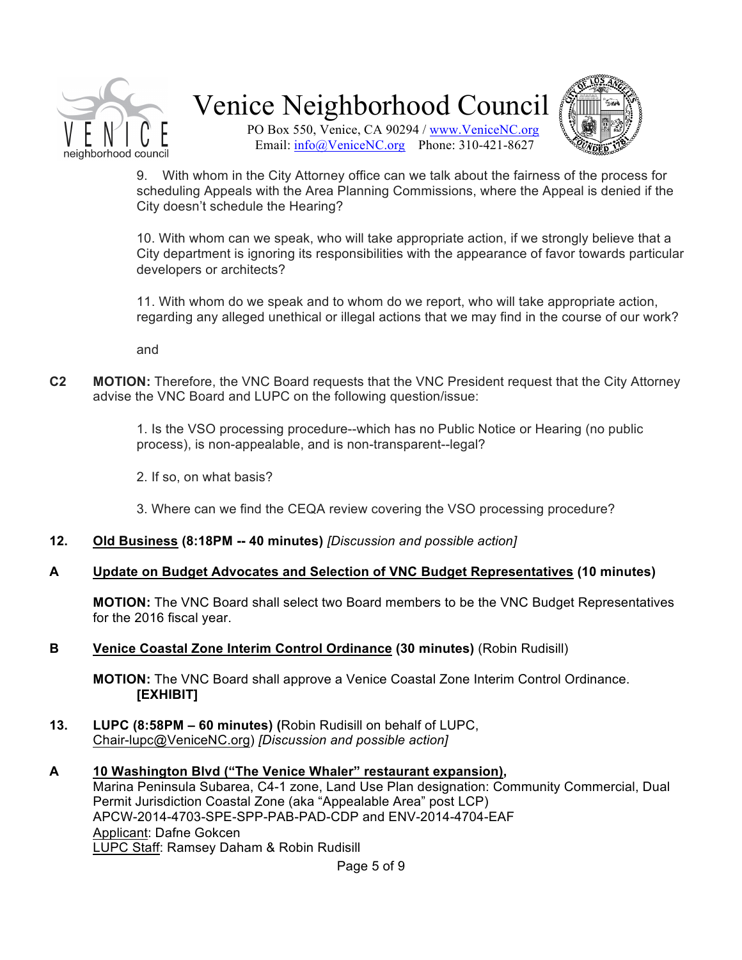

PO Box 550, Venice, CA 90294 / www.VeniceNC.org Email: info@VeniceNC.org Phone: 310-421-8627



9. With whom in the City Attorney office can we talk about the fairness of the process for scheduling Appeals with the Area Planning Commissions, where the Appeal is denied if the City doesn't schedule the Hearing?

10. With whom can we speak, who will take appropriate action, if we strongly believe that a City department is ignoring its responsibilities with the appearance of favor towards particular developers or architects?

11. With whom do we speak and to whom do we report, who will take appropriate action, regarding any alleged unethical or illegal actions that we may find in the course of our work?

and

**C2 MOTION:** Therefore, the VNC Board requests that the VNC President request that the City Attorney advise the VNC Board and LUPC on the following question/issue:

> 1. Is the VSO processing procedure--which has no Public Notice or Hearing (no public process), is non-appealable, and is non-transparent--legal?

2. If so, on what basis?

3. Where can we find the CEQA review covering the VSO processing procedure?

- **12. Old Business (8:18PM -- 40 minutes)** *[Discussion and possible action]*
- **A Update on Budget Advocates and Selection of VNC Budget Representatives (10 minutes)**

**MOTION:** The VNC Board shall select two Board members to be the VNC Budget Representatives for the 2016 fiscal year.

**B Venice Coastal Zone Interim Control Ordinance (30 minutes)** (Robin Rudisill)

**MOTION:** The VNC Board shall approve a Venice Coastal Zone Interim Control Ordinance. **[EXHIBIT]**

- **13. LUPC (8:58PM – 60 minutes) (**Robin Rudisill on behalf of LUPC, Chair-lupc@VeniceNC.org) *[Discussion and possible action]*
- **A 10 Washington Blvd ("The Venice Whaler" restaurant expansion),** Marina Peninsula Subarea, C4-1 zone, Land Use Plan designation: Community Commercial, Dual Permit Jurisdiction Coastal Zone (aka "Appealable Area" post LCP) APCW-2014-4703-SPE-SPP-PAB-PAD-CDP and ENV-2014-4704-EAF Applicant: Dafne Gokcen LUPC Staff: Ramsey Daham & Robin Rudisill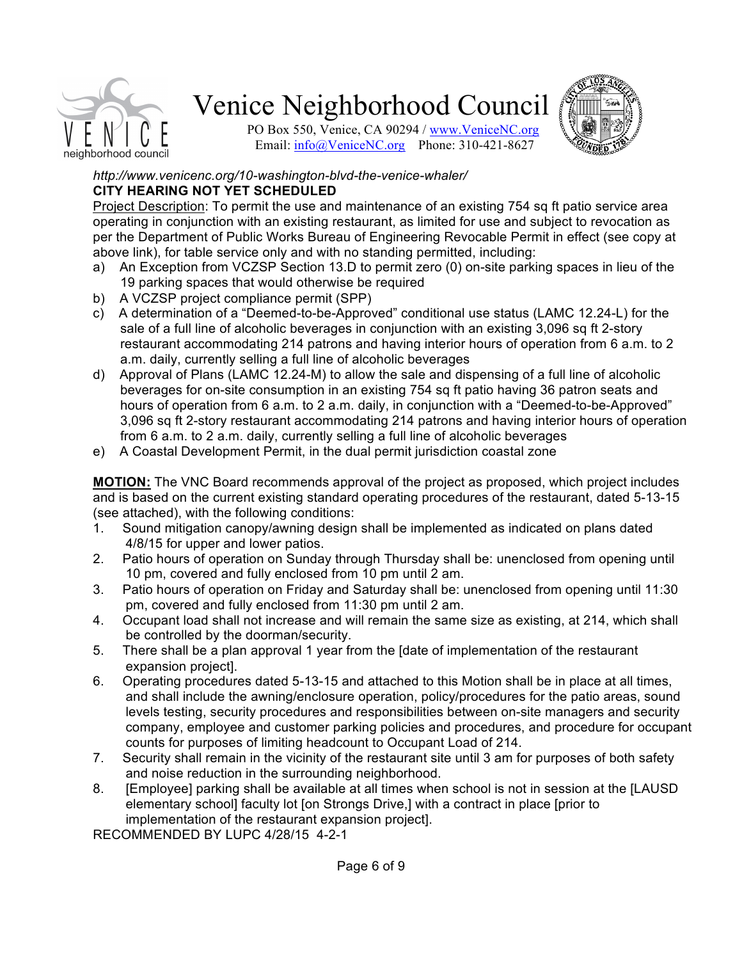

PO Box 550, Venice, CA 90294 / www.VeniceNC.org Email: info@VeniceNC.org Phone: 310-421-8627



#### *http://www.venicenc.org/10-washington-blvd-the-venice-whaler/* **CITY HEARING NOT YET SCHEDULED**

Project Description: To permit the use and maintenance of an existing 754 sq ft patio service area operating in conjunction with an existing restaurant, as limited for use and subject to revocation as per the Department of Public Works Bureau of Engineering Revocable Permit in effect (see copy at above link), for table service only and with no standing permitted, including:

- a) An Exception from VCZSP Section 13.D to permit zero (0) on-site parking spaces in lieu of the 19 parking spaces that would otherwise be required
- b) A VCZSP project compliance permit (SPP)
- c) A determination of a "Deemed-to-be-Approved" conditional use status (LAMC 12.24-L) for the sale of a full line of alcoholic beverages in conjunction with an existing 3,096 sq ft 2-story restaurant accommodating 214 patrons and having interior hours of operation from 6 a.m. to 2 a.m. daily, currently selling a full line of alcoholic beverages
- d) Approval of Plans (LAMC 12.24-M) to allow the sale and dispensing of a full line of alcoholic beverages for on-site consumption in an existing 754 sq ft patio having 36 patron seats and hours of operation from 6 a.m. to 2 a.m. daily, in conjunction with a "Deemed-to-be-Approved" 3,096 sq ft 2-story restaurant accommodating 214 patrons and having interior hours of operation from 6 a.m. to 2 a.m. daily, currently selling a full line of alcoholic beverages
- e) A Coastal Development Permit, in the dual permit jurisdiction coastal zone

**MOTION:** The VNC Board recommends approval of the project as proposed, which project includes and is based on the current existing standard operating procedures of the restaurant, dated 5-13-15 (see attached), with the following conditions:

- 1. Sound mitigation canopy/awning design shall be implemented as indicated on plans dated 4/8/15 for upper and lower patios.
- 2. Patio hours of operation on Sunday through Thursday shall be: unenclosed from opening until 10 pm, covered and fully enclosed from 10 pm until 2 am.
- 3. Patio hours of operation on Friday and Saturday shall be: unenclosed from opening until 11:30 pm, covered and fully enclosed from 11:30 pm until 2 am.
- 4. Occupant load shall not increase and will remain the same size as existing, at 214, which shall be controlled by the doorman/security.
- 5. There shall be a plan approval 1 year from the [date of implementation of the restaurant expansion project].
- 6. Operating procedures dated 5-13-15 and attached to this Motion shall be in place at all times, and shall include the awning/enclosure operation, policy/procedures for the patio areas, sound levels testing, security procedures and responsibilities between on-site managers and security company, employee and customer parking policies and procedures, and procedure for occupant counts for purposes of limiting headcount to Occupant Load of 214.
- 7. Security shall remain in the vicinity of the restaurant site until 3 am for purposes of both safety and noise reduction in the surrounding neighborhood.
- 8. [Employee] parking shall be available at all times when school is not in session at the [LAUSD elementary school] faculty lot [on Strongs Drive,] with a contract in place [prior to implementation of the restaurant expansion project].

RECOMMENDED BY LUPC 4/28/15 4-2-1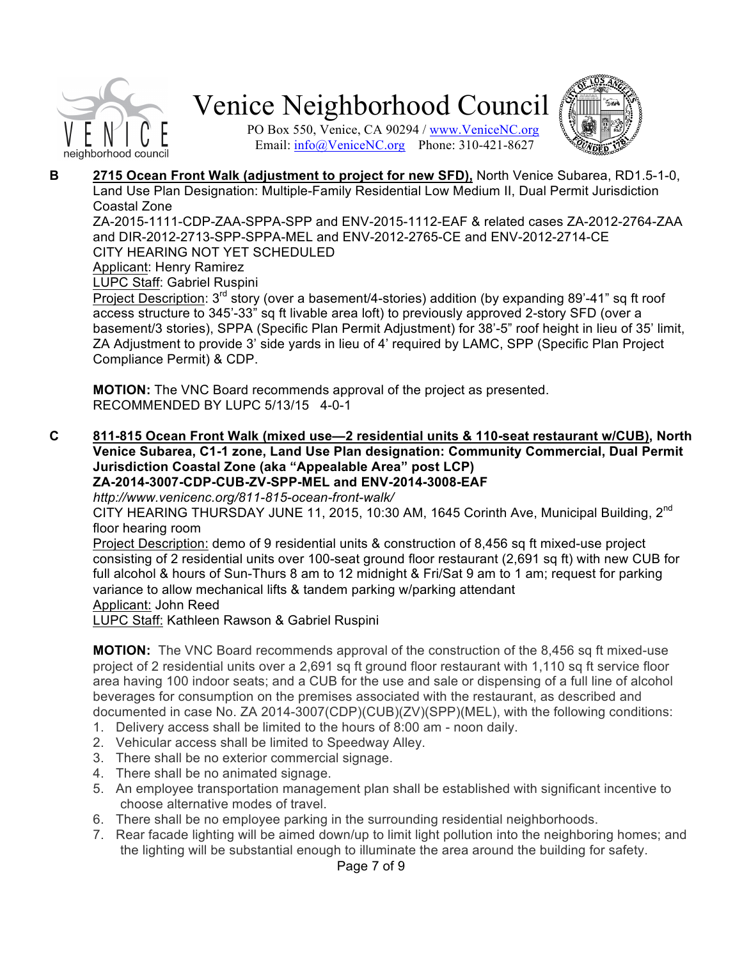

PO Box 550, Venice, CA 90294 / www.VeniceNC.org Email: info@VeniceNC.org Phone: 310-421-8627



**B 2715 Ocean Front Walk (adjustment to project for new SFD),** North Venice Subarea, RD1.5-1-0, Land Use Plan Designation: Multiple-Family Residential Low Medium II, Dual Permit Jurisdiction Coastal Zone

ZA-2015-1111-CDP-ZAA-SPPA-SPP and ENV-2015-1112-EAF & related cases ZA-2012-2764-ZAA and DIR-2012-2713-SPP-SPPA-MEL and ENV-2012-2765-CE and ENV-2012-2714-CE CITY HEARING NOT YET SCHEDULED

Applicant: Henry Ramirez

LUPC Staff: Gabriel Ruspini

Project Description: 3<sup>rd</sup> story (over a basement/4-stories) addition (by expanding 89'-41" sq ft roof access structure to 345'-33" sq ft livable area loft) to previously approved 2-story SFD (over a basement/3 stories), SPPA (Specific Plan Permit Adjustment) for 38'-5" roof height in lieu of 35' limit, ZA Adjustment to provide 3' side yards in lieu of 4' required by LAMC, SPP (Specific Plan Project Compliance Permit) & CDP.

**MOTION:** The VNC Board recommends approval of the project as presented. RECOMMENDED BY LUPC 5/13/15 4-0-1

**C 811-815 Ocean Front Walk (mixed use—2 residential units & 110-seat restaurant w/CUB), North Venice Subarea, C1-1 zone, Land Use Plan designation: Community Commercial, Dual Permit Jurisdiction Coastal Zone (aka "Appealable Area" post LCP) ZA-2014-3007-CDP-CUB-ZV-SPP-MEL and ENV-2014-3008-EAF**

*http://www.venicenc.org/811-815-ocean-front-walk/*

CITY HEARING THURSDAY JUNE 11, 2015, 10:30 AM, 1645 Corinth Ave, Municipal Building,  $2<sup>nd</sup>$ floor hearing room

Project Description: demo of 9 residential units & construction of 8,456 sq ft mixed-use project consisting of 2 residential units over 100-seat ground floor restaurant (2,691 sq ft) with new CUB for full alcohol & hours of Sun-Thurs 8 am to 12 midnight & Fri/Sat 9 am to 1 am; request for parking variance to allow mechanical lifts & tandem parking w/parking attendant Applicant: John Reed

LUPC Staff: Kathleen Rawson & Gabriel Ruspini

**MOTION:** The VNC Board recommends approval of the construction of the 8,456 sq ft mixed-use project of 2 residential units over a 2,691 sq ft ground floor restaurant with 1,110 sq ft service floor area having 100 indoor seats; and a CUB for the use and sale or dispensing of a full line of alcohol beverages for consumption on the premises associated with the restaurant, as described and documented in case No. ZA 2014-3007(CDP)(CUB)(ZV)(SPP)(MEL), with the following conditions:

- 1. Delivery access shall be limited to the hours of 8:00 am noon daily.
- 2. Vehicular access shall be limited to Speedway Alley.
- 3. There shall be no exterior commercial signage.
- 4. There shall be no animated signage.
- 5. An employee transportation management plan shall be established with significant incentive to choose alternative modes of travel.
- 6. There shall be no employee parking in the surrounding residential neighborhoods.
- 7. Rear facade lighting will be aimed down/up to limit light pollution into the neighboring homes; and the lighting will be substantial enough to illuminate the area around the building for safety.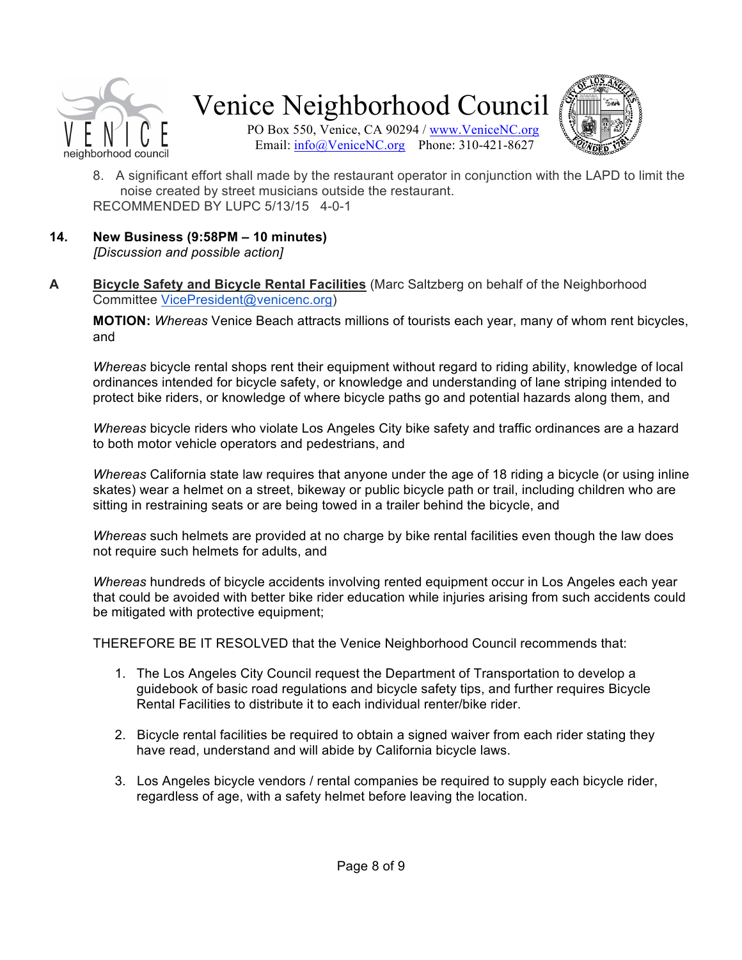



PO Box 550, Venice, CA 90294 / www.VeniceNC.org Email: info@VeniceNC.org Phone: 310-421-8627

- 8. A significant effort shall made by the restaurant operator in conjunction with the LAPD to limit the noise created by street musicians outside the restaurant. RECOMMENDED BY LUPC 5/13/15 4-0-1
- **14. New Business (9:58PM – 10 minutes)** *[Discussion and possible action]*
- **A Bicycle Safety and Bicycle Rental Facilities** (Marc Saltzberg on behalf of the Neighborhood Committee VicePresident@venicenc.org)

**MOTION:** *Whereas* Venice Beach attracts millions of tourists each year, many of whom rent bicycles, and

*Whereas* bicycle rental shops rent their equipment without regard to riding ability, knowledge of local ordinances intended for bicycle safety, or knowledge and understanding of lane striping intended to protect bike riders, or knowledge of where bicycle paths go and potential hazards along them, and

*Whereas* bicycle riders who violate Los Angeles City bike safety and traffic ordinances are a hazard to both motor vehicle operators and pedestrians, and

*Whereas* California state law requires that anyone under the age of 18 riding a bicycle (or using inline skates) wear a helmet on a street, bikeway or public bicycle path or trail, including children who are sitting in restraining seats or are being towed in a trailer behind the bicycle, and

*Whereas* such helmets are provided at no charge by bike rental facilities even though the law does not require such helmets for adults, and

*Whereas* hundreds of bicycle accidents involving rented equipment occur in Los Angeles each year that could be avoided with better bike rider education while injuries arising from such accidents could be mitigated with protective equipment;

THEREFORE BE IT RESOLVED that the Venice Neighborhood Council recommends that:

- 1. The Los Angeles City Council request the Department of Transportation to develop a guidebook of basic road regulations and bicycle safety tips, and further requires Bicycle Rental Facilities to distribute it to each individual renter/bike rider.
- 2. Bicycle rental facilities be required to obtain a signed waiver from each rider stating they have read, understand and will abide by California bicycle laws.
- 3. Los Angeles bicycle vendors / rental companies be required to supply each bicycle rider, regardless of age, with a safety helmet before leaving the location.